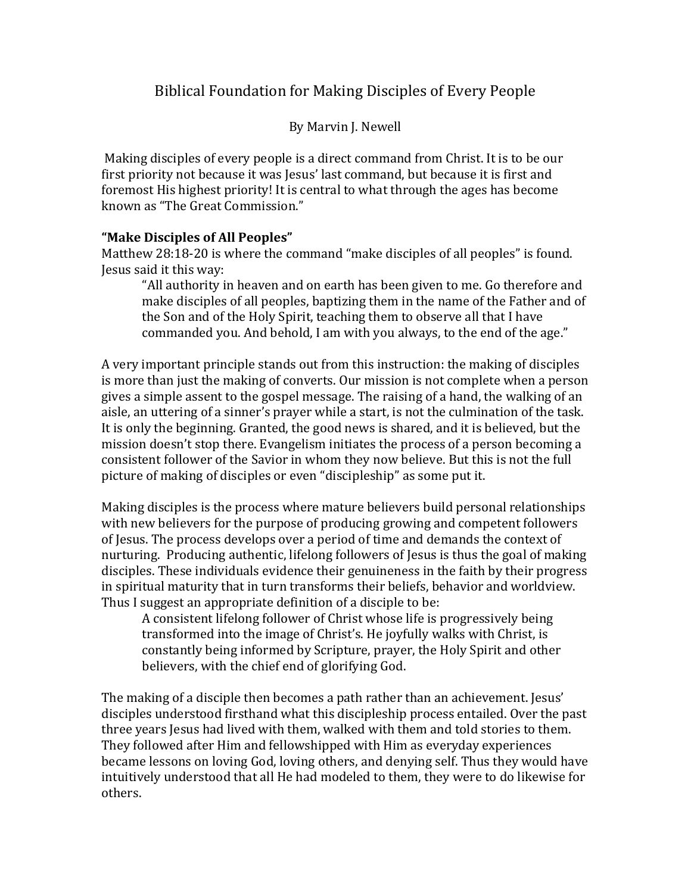# Biblical Foundation for Making Disciples of Every People

By Marvin J. Newell

Making disciples of every people is a direct command from Christ. It is to be our first priority not because it was Jesus' last command, but because it is first and foremost His highest priority! It is central to what through the ages has become known as "The Great Commission."

# **"Make Disciples of All Peoples"**

Matthew 28:18-20 is where the command "make disciples of all peoples" is found. Jesus said it this way:

"All authority in heaven and on earth has been given to me. Go therefore and make disciples of all peoples, baptizing them in the name of the Father and of the Son and of the Holy Spirit, teaching them to observe all that I have commanded you. And behold, I am with you always, to the end of the age."

A very important principle stands out from this instruction: the making of disciples is more than just the making of converts. Our mission is not complete when a person gives a simple assent to the gospel message. The raising of a hand, the walking of an aisle, an uttering of a sinner's prayer while a start, is not the culmination of the task. It is only the beginning. Granted, the good news is shared, and it is believed, but the mission doesn't stop there. Evangelism initiates the process of a person becoming a consistent follower of the Savior in whom they now believe. But this is not the full picture of making of disciples or even "discipleship" as some put it.

Making disciples is the process where mature believers build personal relationships with new believers for the purpose of producing growing and competent followers of Jesus. The process develops over a period of time and demands the context of nurturing. Producing authentic, lifelong followers of Jesus is thus the goal of making disciples. These individuals evidence their genuineness in the faith by their progress in spiritual maturity that in turn transforms their beliefs, behavior and worldview. Thus I suggest an appropriate definition of a disciple to be:

A consistent lifelong follower of Christ whose life is progressively being transformed into the image of Christ's. He joyfully walks with Christ, is constantly being informed by Scripture, prayer, the Holy Spirit and other believers, with the chief end of glorifying God.

The making of a disciple then becomes a path rather than an achievement. Jesus' disciples understood firsthand what this discipleship process entailed. Over the past three years Jesus had lived with them, walked with them and told stories to them. They followed after Him and fellowshipped with Him as everyday experiences became lessons on loving God, loving others, and denying self. Thus they would have intuitively understood that all He had modeled to them, they were to do likewise for others.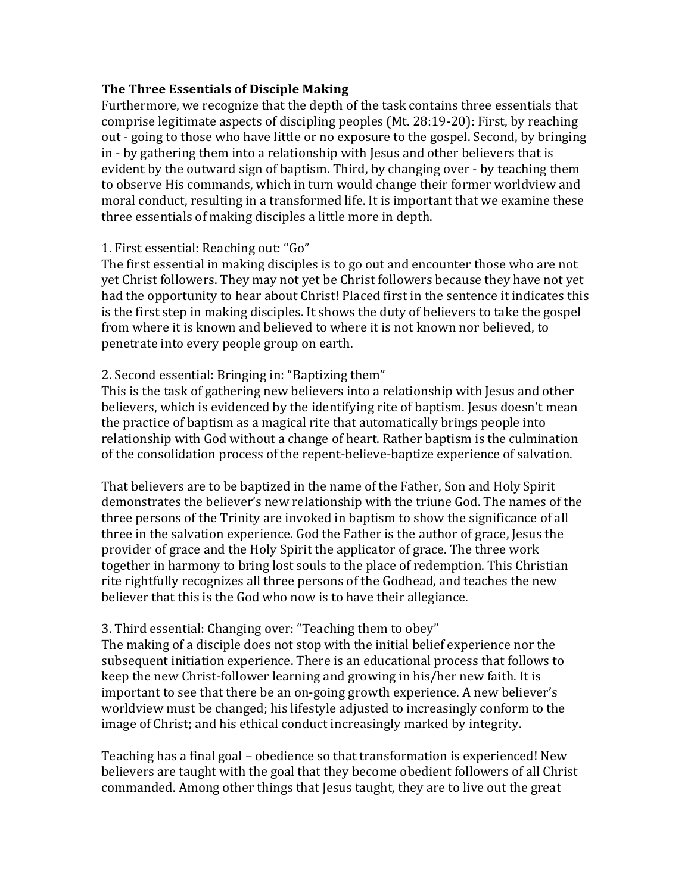### **The Three Essentials of Disciple Making**

Furthermore, we recognize that the depth of the task contains three essentials that comprise legitimate aspects of discipling peoples (Mt. 28:19-20): First, by reaching out - going to those who have little or no exposure to the gospel. Second, by bringing in - by gathering them into a relationship with Jesus and other believers that is evident by the outward sign of baptism. Third, by changing over - by teaching them to observe His commands, which in turn would change their former worldview and moral conduct, resulting in a transformed life. It is important that we examine these three essentials of making disciples a little more in depth.

### 1. First essential: Reaching out: "Go"

The first essential in making disciples is to go out and encounter those who are not yet Christ followers. They may not yet be Christ followers because they have not yet had the opportunity to hear about Christ! Placed first in the sentence it indicates this is the first step in making disciples. It shows the duty of believers to take the gospel from where it is known and believed to where it is not known nor believed, to penetrate into every people group on earth.

### 2. Second essential: Bringing in: "Baptizing them"

This is the task of gathering new believers into a relationship with Jesus and other believers, which is evidenced by the identifying rite of baptism. Jesus doesn't mean the practice of baptism as a magical rite that automatically brings people into relationship with God without a change of heart. Rather baptism is the culmination of the consolidation process of the repent-believe-baptize experience of salvation.

That believers are to be baptized in the name of the Father, Son and Holy Spirit demonstrates the believer's new relationship with the triune God. The names of the three persons of the Trinity are invoked in baptism to show the significance of all three in the salvation experience. God the Father is the author of grace, Jesus the provider of grace and the Holy Spirit the applicator of grace. The three work together in harmony to bring lost souls to the place of redemption. This Christian rite rightfully recognizes all three persons of the Godhead, and teaches the new believer that this is the God who now is to have their allegiance.

### 3. Third essential: Changing over: "Teaching them to obey"

The making of a disciple does not stop with the initial belief experience nor the subsequent initiation experience. There is an educational process that follows to keep the new Christ-follower learning and growing in his/her new faith. It is important to see that there be an on-going growth experience. A new believer's worldview must be changed; his lifestyle adjusted to increasingly conform to the image of Christ; and his ethical conduct increasingly marked by integrity.

Teaching has a final goal – obedience so that transformation is experienced! New believers are taught with the goal that they become obedient followers of all Christ commanded. Among other things that Jesus taught, they are to live out the great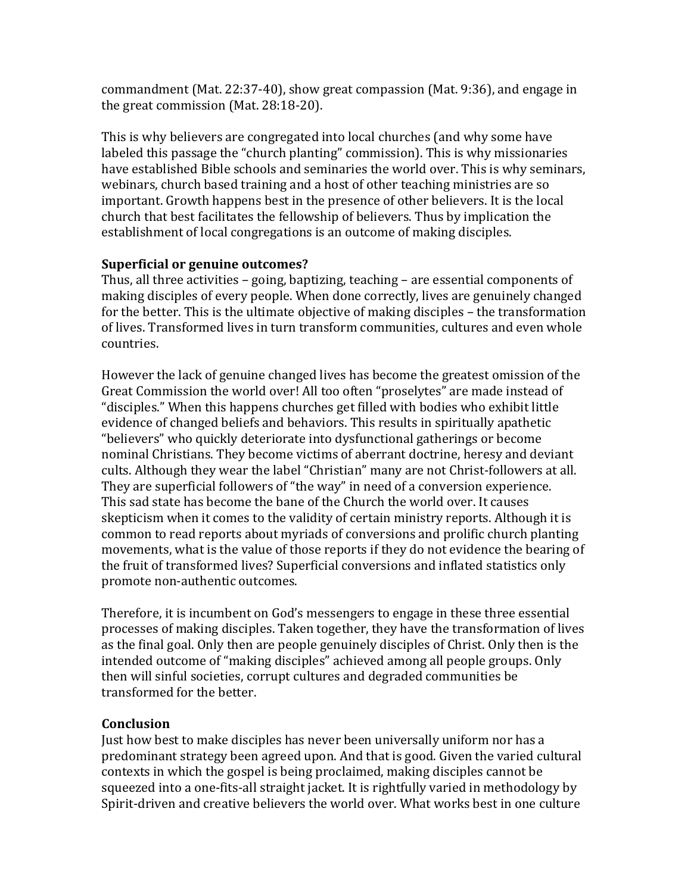commandment (Mat. 22:37-40), show great compassion (Mat. 9:36), and engage in the great commission (Mat. 28:18-20).

This is why believers are congregated into local churches (and why some have labeled this passage the "church planting" commission). This is why missionaries have established Bible schools and seminaries the world over. This is why seminars, webinars, church based training and a host of other teaching ministries are so important. Growth happens best in the presence of other believers. It is the local church that best facilitates the fellowship of believers. Thus by implication the establishment of local congregations is an outcome of making disciples.

# **Superficial or genuine outcomes?**

Thus, all three activities – going, baptizing, teaching – are essential components of making disciples of every people. When done correctly, lives are genuinely changed for the better. This is the ultimate objective of making disciples – the transformation of lives. Transformed lives in turn transform communities, cultures and even whole countries.

However the lack of genuine changed lives has become the greatest omission of the Great Commission the world over! All too often "proselytes" are made instead of "disciples." When this happens churches get filled with bodies who exhibit little evidence of changed beliefs and behaviors. This results in spiritually apathetic "believers" who quickly deteriorate into dysfunctional gatherings or become nominal Christians. They become victims of aberrant doctrine, heresy and deviant cults. Although they wear the label "Christian" many are not Christ-followers at all. They are superficial followers of "the way" in need of a conversion experience. This sad state has become the bane of the Church the world over. It causes skepticism when it comes to the validity of certain ministry reports. Although it is common to read reports about myriads of conversions and prolific church planting movements, what is the value of those reports if they do not evidence the bearing of the fruit of transformed lives? Superficial conversions and inflated statistics only promote non-authentic outcomes.

Therefore, it is incumbent on God's messengers to engage in these three essential processes of making disciples. Taken together, they have the transformation of lives as the final goal. Only then are people genuinely disciples of Christ. Only then is the intended outcome of "making disciples" achieved among all people groups. Only then will sinful societies, corrupt cultures and degraded communities be transformed for the better.

### **Conclusion**

Just how best to make disciples has never been universally uniform nor has a predominant strategy been agreed upon. And that is good. Given the varied cultural contexts in which the gospel is being proclaimed, making disciples cannot be squeezed into a one-fits-all straight jacket. It is rightfully varied in methodology by Spirit-driven and creative believers the world over. What works best in one culture